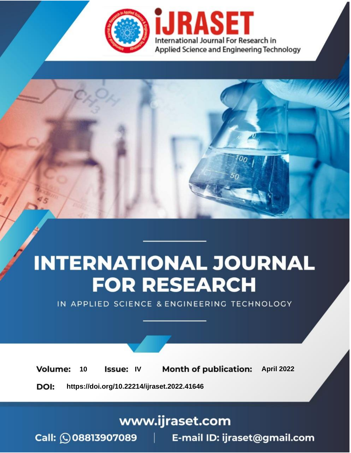

# **INTERNATIONAL JOURNAL FOR RESEARCH**

IN APPLIED SCIENCE & ENGINEERING TECHNOLOGY

10 **Issue: IV Month of publication:** April 2022 **Volume:** 

**https://doi.org/10.22214/ijraset.2022.41646**DOI:

www.ijraset.com

Call: 008813907089 | E-mail ID: ijraset@gmail.com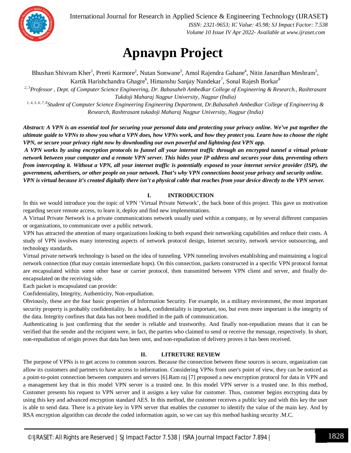

International Journal for Research in Applied Science & Engineering Technology (IJRASET**)**

 *ISSN: 2321-9653; IC Value: 45.98; SJ Impact Factor: 7.538 Volume 10 Issue IV Apr 2022- Available at www.ijraset.com*

### **Apnavpn Project**

Bhushan Shivram Kher<sup>1</sup>, Preeti Karmore<sup>2</sup>, Nutan Sonwane<sup>3</sup>, Amol Rajendra Gahane<sup>4</sup>, Nitin Janardhan Meshram<sup>5</sup>, Kartik Harishchandra Ghagre<sup>6</sup>, Himanshu Sanjay Nandekar<sup>7</sup>, Sonal Rajesh Borkar<sup>8</sup>

*2, 3Professor , Dept. of Computer Science Engineering, Dr. Babasaheb Ambedkar College of Engineering & Research., Rashtrasant Tukdoji Maharaj Nagpur University, Nagpur (India)*

*1, 4, 5, 6, 7, 8 Student of Computer Science Engineering Engineering Department, Dr.Babasaheb Ambedkar College of Engineering & Research, Rashtrasant tukadoji Maharaj Nagpur University, Nagpur (India)*

*Abstract: A VPN is an essential tool for securing your personal data and protecting your privacy online. We've put together the ultimate guide to VPNs to show you what a VPN does, how VPNs work, and how they protect you. Learn how to choose the right VPN, or secure your privacy right now by downloading our own powerful and lightning-fast VPN app.*

*A VPN works by using encryption protocols to funnel all your internet traffic through an encrypted tunnel a virtual private network between your computer and a remote VPN server. This hides your IP address and secures your data, preventing others from intercepting it. Without a VPN, all your internet traffic is potentially exposed to your internet service provider (ISP), the government, advertisers, or other people on your network. That's why VPN connections boost your privacy and security online. VPN is virtual because it's created digitally there isn't a physical cable that reaches from your device directly to the VPN server.*

#### **I. INTRODUCTION**

In this we would introduce you the topic of VPN 'Virtual Private Network', the back bone of this project. This gave us motivation regarding secure remote access, to learn it, deploy and find new implementations.

A Virtual Private Network is a private communications network usually used within a company, or by several different companies or organizations, to communicate over a public network.

VPN has attracted the attention of many organizations looking to both expand their networking capabilities and reduce their costs. A study of VPN involves many interesting aspects of network protocol design, Internet security, network service outsourcing, and technology standards.

Virtual private network technology is based on the idea of tunneling. VPN tunneling involves establishing and maintaining a logical network connection (that may contain intermediate hops). On this connection, packets constructed in a specific VPN protocol format are encapsulated within some other base or carrier protocol, then transmitted between VPN client and server, and finally deencapsulated on the receiving side.

Each packet is encapsulated can provide:

Confidentiality, Integrity, Authenticity, Non-repudiation.

Obviously, these are the four basic properties of Information Security. For example, in a military environment, the most important security property is probably confidentiality. In a bank, confidentiality is important, too, but even more important is the integrity of the data. Integrity confines that data has not been modified in the path of communication.

Authenticating is just confirming that the sender is reliable and trustworthy. And finally non-repudiation means that it can be verified that the sender and the recipient were, in fact, the parties who claimed to send or receive the message, respectively. In short, non-repudiation of origin proves that data has been sent, and non-repudiation of delivery proves it has been received.

#### **II. LITRETURE REVIEW**

The purpose of VPNs is to get access to common sources. Because the connection between these sources is secure, organization can allow its customers and partners to have access to information. Considering VPNs from user's point of view, they can be noticed as a point-to-point connection between computers and servers [6].Ram raj [7] proposed a new encryption protocol for data in VPN and a management key that in this model VPN server is a trusted one. In this model VPN server is a trusted one. In this method, Customer presents his request to VPN server and it assigns a key value for customer. Thus, customer begins encrypting data by using this key and advanced encryption standard AES. In this method, the customer receives a public key and with this key the user is able to send data. There is a private key in VPN server that enables the customer to identify the value of the main key. And by RSA encryption algorithm can decode the coded information again, so we can say this method hashing security .M.C.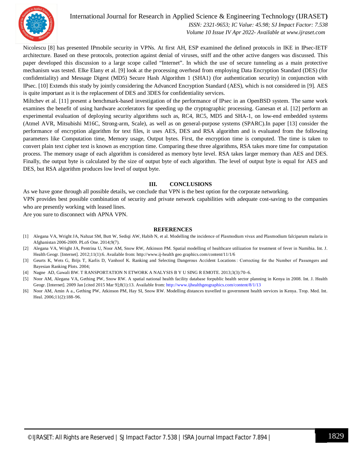

Nicolescu [8] has presented IPmobile security in VPNs. At first AH, ESP examined the defined protocols in IKE in IPsec-IETF architecture. Based on these protocols, protection against denial of viruses, sniff and the other active dangers was discussed. This paper developed this discussion to a large scope called "Internet". In which the use of secure tunneling as a main protective mechanism was tested. Elke Elany et al. [9] look at the processing overhead from employing Data Encryption Standard (DES) (for confidentiality) and Message Digest (MD5) Secure Hash Algorithm 1 (SHA1) (for authentication security) in conjunction with IPsec. [10] Extends this study by jointly considering the Advanced Encryption Standard (AES), which is not considered in [9]. AES is quite important as it is the replacement of DES and 3DES for confidentiality services.

Miltchev et al. [11] present a benchmark-based investigation of the performance of IPsec in an OpenBSD system. The same work examines the benefit of using hardware accelerators for speeding up the cryptographic processing. Ganesan et al. [12] perform an experimental evaluation of deploying security algorithms such as, RC4, RC5, MD5 and SHA-1, on low-end embedded systems (Atmel AVR, Mitsubishi M16C, Strong-arm, Scale), as well as on general-purpose systems (SPARC).In paper [13] consider the performance of encryption algorithm for text files, it uses AES, DES and RSA algorithm and is evaluated from the following parameters like Computation time, Memory usage, Output bytes. First, the encryption time is computed. The time is taken to convert plain text cipher text is known as encryption time. Comparing these three algorithms, RSA takes more time for computation process. The memory usage of each algorithm is considered as memory byte level. RSA takes larger memory than AES and DES. Finally, the output byte is calculated by the size of output byte of each algorithm. The level of output byte is equal for AES and DES, but RSA algorithm produces low level of output byte.

#### **III. CONCLUSIONS**

As we have gone through all possible details, we conclude that VPN is the best option for the corporate networking.

VPN provides best possible combination of security and private network capabilities with adequate cost-saving to the companies who are presently working with leased lines.

Are you sure to disconnect with APNA VPN.

#### **REFERENCES**

- [1] Alegana VA, Wright JA, Nahzat SM, Butt W, Sediqi AW, Habib N, et al. Modelling the incidence of Plasmodium vivax and Plasmodium falciparum malaria in Afghanistan 2006-2009. PLoS One. 2014;9(7).
- [2] Alegana VA, Wright JA, Pentrina U, Noor AM, Snow RW, Atkinson PM. Spatial modelling of healthcare utilization for treatment of fever in Namibia. Int. J. Health Geogr. [Internet]. 2012;11(1):6. Available from: http://www.ij-health geo graphics.com/content/11/1/6
- [3] Geurts K, Wets G, Brijs T, Karlis D, Vanhoof K. Ranking and Selecting Dangerous Accident Locations : Correcting for the Number of Passengers and Bayesian Ranking Plots. 2004;
- [4] Nagne AD, Gawali BW. T RANSPORTATION N ETWORK A NALYSIS B Y U SING R EMOTE. 2013;3(3):70–6.
- [5] Noor AM, Alegana VA, Gething PW, Snow RW. A spatial national health facility database forpublic health sector planning in Kenya in 2008. Int. J. Health Geogr. [Internet]. 2009 Jan [cited 2015 Mar 9];8(1):13. Available from: http://www.ijhealthgeographics.com/content/8/1/13
- [6] Noor AM, Amin A a., Gething PW, Atkinson PM, Hay SI, Snow RW. Modelling distances travelled to government health services in Kenya. Trop. Med. Int. Heal. 2006;11(2):188–96.